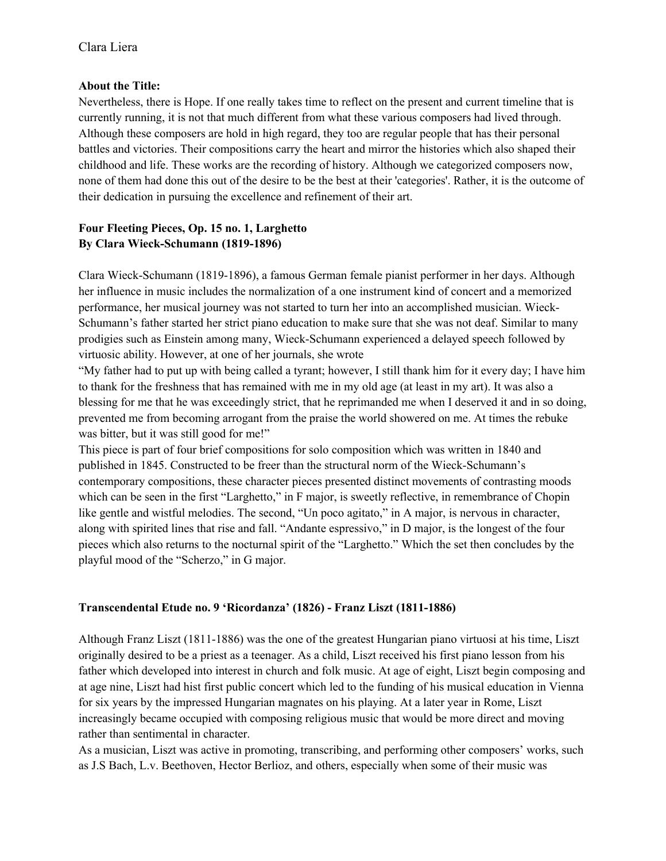### **About the Title:**

Nevertheless, there is Hope. If one really takes time to reflect on the present and current timeline that is currently running, it is not that much different from what these various composers had lived through. Although these composers are hold in high regard, they too are regular people that has their personal battles and victories. Their compositions carry the heart and mirror the histories which also shaped their childhood and life. These works are the recording of history. Although we categorized composers now, none of them had done this out of the desire to be the best at their 'categories'. Rather, it is the outcome of their dedication in pursuing the excellence and refinement of their art.

# **Four Fleeting Pieces, Op. 15 no. 1, Larghetto By Clara Wieck-Schumann (1819-1896)**

Clara Wieck-Schumann (1819-1896), a famous German female pianist performer in her days. Although her influence in music includes the normalization of a one instrument kind of concert and a memorized performance, her musical journey was not started to turn her into an accomplished musician. Wieck-Schumann's father started her strict piano education to make sure that she was not deaf. Similar to many prodigies such as Einstein among many, Wieck-Schumann experienced a delayed speech followed by virtuosic ability. However, at one of her journals, she wrote

"My father had to put up with being called a tyrant; however, I still thank him for it every day; I have him to thank for the freshness that has remained with me in my old age (at least in my art). It was also a blessing for me that he was exceedingly strict, that he reprimanded me when I deserved it and in so doing, prevented me from becoming arrogant from the praise the world showered on me. At times the rebuke was bitter, but it was still good for me!"

This piece is part of four brief compositions for solo composition which was written in 1840 and published in 1845. Constructed to be freer than the structural norm of the Wieck-Schumann's contemporary compositions, these character pieces presented distinct movements of contrasting moods which can be seen in the first "Larghetto," in F major, is sweetly reflective, in remembrance of Chopin like gentle and wistful melodies. The second, "Un poco agitato," in A major, is nervous in character, along with spirited lines that rise and fall. "Andante espressivo," in D major, is the longest of the four pieces which also returns to the nocturnal spirit of the "Larghetto." Which the set then concludes by the playful mood of the "Scherzo," in G major.

## **Transcendental Etude no. 9 'Ricordanza' (1826) - Franz Liszt (1811-1886)**

Although Franz Liszt (1811-1886) was the one of the greatest Hungarian piano virtuosi at his time, Liszt originally desired to be a priest as a teenager. As a child, Liszt received his first piano lesson from his father which developed into interest in church and folk music. At age of eight, Liszt begin composing and at age nine, Liszt had hist first public concert which led to the funding of his musical education in Vienna for six years by the impressed Hungarian magnates on his playing. At a later year in Rome, Liszt increasingly became occupied with composing religious music that would be more direct and moving rather than sentimental in character.

As a musician, Liszt was active in promoting, transcribing, and performing other composers' works, such as J.S Bach, L.v. Beethoven, Hector Berlioz, and others, especially when some of their music was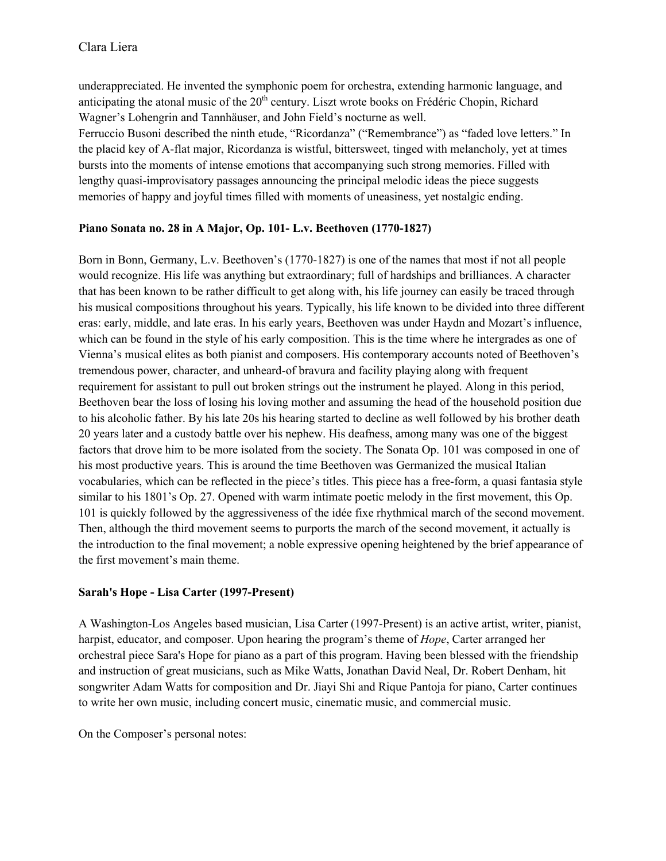underappreciated. He invented the symphonic poem for orchestra, extending harmonic language, and anticipating the atonal music of the 20<sup>th</sup> century. Liszt wrote books on Frédéric Chopin, Richard Wagner's Lohengrin and Tannhäuser, and John Field's nocturne as well.

Ferruccio Busoni described the ninth etude, "Ricordanza" ("Remembrance") as "faded love letters." In the placid key of A-flat major, Ricordanza is wistful, bittersweet, tinged with melancholy, yet at times bursts into the moments of intense emotions that accompanying such strong memories. Filled with lengthy quasi-improvisatory passages announcing the principal melodic ideas the piece suggests memories of happy and joyful times filled with moments of uneasiness, yet nostalgic ending.

### **Piano Sonata no. 28 in A Major, Op. 101- L.v. Beethoven (1770-1827)**

Born in Bonn, Germany, L.v. Beethoven's (1770-1827) is one of the names that most if not all people would recognize. His life was anything but extraordinary; full of hardships and brilliances. A character that has been known to be rather difficult to get along with, his life journey can easily be traced through his musical compositions throughout his years. Typically, his life known to be divided into three different eras: early, middle, and late eras. In his early years, Beethoven was under Haydn and Mozart's influence, which can be found in the style of his early composition. This is the time where he intergrades as one of Vienna's musical elites as both pianist and composers. His contemporary accounts noted of Beethoven's tremendous power, character, and unheard-of bravura and facility playing along with frequent requirement for assistant to pull out broken strings out the instrument he played. Along in this period, Beethoven bear the loss of losing his loving mother and assuming the head of the household position due to his alcoholic father. By his late 20s his hearing started to decline as well followed by his brother death 20 years later and a custody battle over his nephew. His deafness, among many was one of the biggest factors that drove him to be more isolated from the society. The Sonata Op. 101 was composed in one of his most productive years. This is around the time Beethoven was Germanized the musical Italian vocabularies, which can be reflected in the piece's titles. This piece has a free-form, a quasi fantasia style similar to his 1801's Op. 27. Opened with warm intimate poetic melody in the first movement, this Op. 101 is quickly followed by the aggressiveness of the idée fixe rhythmical march of the second movement. Then, although the third movement seems to purports the march of the second movement, it actually is the introduction to the final movement; a noble expressive opening heightened by the brief appearance of the first movement's main theme.

### **Sarah's Hope - Lisa Carter (1997-Present)**

A Washington-Los Angeles based musician, Lisa Carter (1997-Present) is an active artist, writer, pianist, harpist, educator, and composer. Upon hearing the program's theme of *Hope*, Carter arranged her orchestral piece Sara's Hope for piano as a part of this program. Having been blessed with the friendship and instruction of great musicians, such as Mike Watts, Jonathan David Neal, Dr. Robert Denham, hit songwriter Adam Watts for composition and Dr. Jiayi Shi and Rique Pantoja for piano, Carter continues to write her own music, including concert music, cinematic music, and commercial music.

On the Composer's personal notes: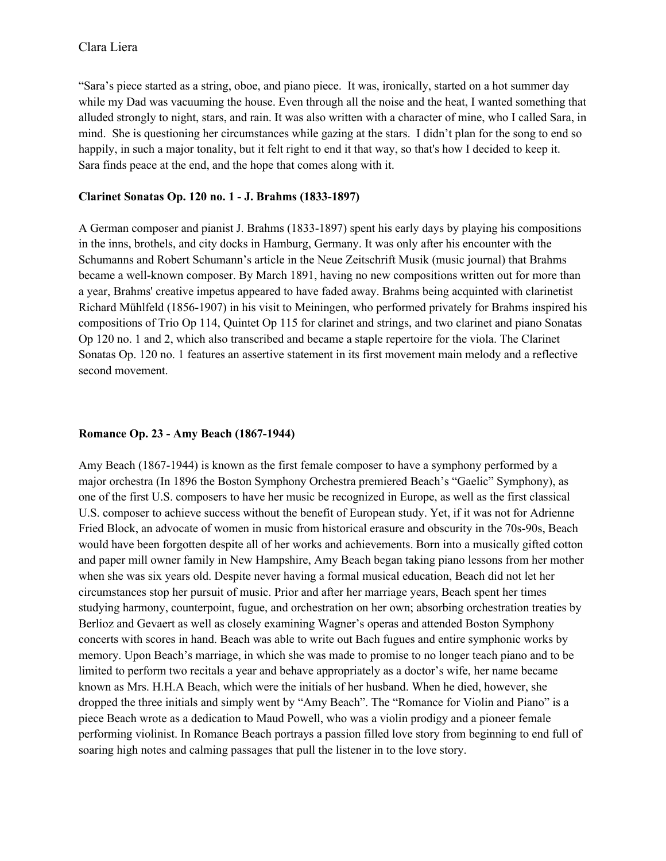"Sara's piece started as a string, oboe, and piano piece. It was, ironically, started on a hot summer day while my Dad was vacuuming the house. Even through all the noise and the heat, I wanted something that alluded strongly to night, stars, and rain. It was also written with a character of mine, who I called Sara, in mind. She is questioning her circumstances while gazing at the stars. I didn't plan for the song to end so happily, in such a major tonality, but it felt right to end it that way, so that's how I decided to keep it. Sara finds peace at the end, and the hope that comes along with it.

#### **Clarinet Sonatas Op. 120 no. 1 - J. Brahms (1833-1897)**

A German composer and pianist J. Brahms (1833-1897) spent his early days by playing his compositions in the inns, brothels, and city docks in Hamburg, Germany. It was only after his encounter with the Schumanns and Robert Schumann's article in the Neue Zeitschrift Musik (music journal) that Brahms became a well-known composer. By March 1891, having no new compositions written out for more than a year, Brahms' creative impetus appeared to have faded away. Brahms being acquinted with clarinetist Richard Mühlfeld (1856-1907) in his visit to Meiningen, who performed privately for Brahms inspired his compositions of Trio Op 114, Quintet Op 115 for clarinet and strings, and two clarinet and piano Sonatas Op 120 no. 1 and 2, which also transcribed and became a staple repertoire for the viola. The Clarinet Sonatas Op. 120 no. 1 features an assertive statement in its first movement main melody and a reflective second movement.

### **Romance Op. 23 - Amy Beach (1867-1944)**

Amy Beach (1867-1944) is known as the first female composer to have a symphony performed by a major orchestra (In 1896 the Boston Symphony Orchestra premiered Beach's "Gaelic" Symphony), as one of the first U.S. composers to have her music be recognized in Europe, as well as the first classical U.S. composer to achieve success without the benefit of European study. Yet, if it was not for Adrienne Fried Block, an advocate of women in music from historical erasure and obscurity in the 70s-90s, Beach would have been forgotten despite all of her works and achievements. Born into a musically gifted cotton and paper mill owner family in New Hampshire, Amy Beach began taking piano lessons from her mother when she was six years old. Despite never having a formal musical education, Beach did not let her circumstances stop her pursuit of music. Prior and after her marriage years, Beach spent her times studying harmony, counterpoint, fugue, and orchestration on her own; absorbing orchestration treaties by Berlioz and Gevaert as well as closely examining Wagner's operas and attended Boston Symphony concerts with scores in hand. Beach was able to write out Bach fugues and entire symphonic works by memory. Upon Beach's marriage, in which she was made to promise to no longer teach piano and to be limited to perform two recitals a year and behave appropriately as a doctor's wife, her name became known as Mrs. H.H.A Beach, which were the initials of her husband. When he died, however, she dropped the three initials and simply went by "Amy Beach". The "Romance for Violin and Piano" is a piece Beach wrote as a dedication to Maud Powell, who was a violin prodigy and a pioneer female performing violinist. In Romance Beach portrays a passion filled love story from beginning to end full of soaring high notes and calming passages that pull the listener in to the love story.